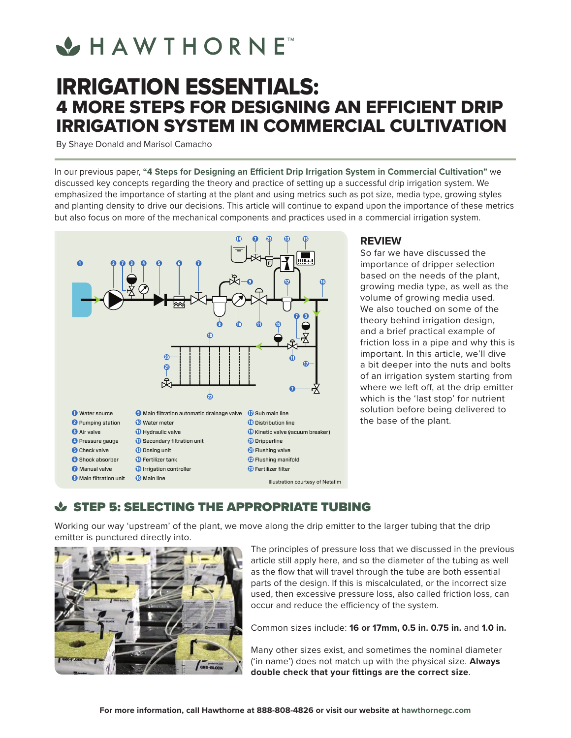# **VHAWTHORNE**

# IRRIGATION ESSENTIALS: 4 MORE STEPS FOR DESIGNING AN EFFICIENT DRIP IRRIGATION SYSTEM IN COMMERCIAL CULTIVATION

By Shaye Donald and Marisol Camacho

In our previous paper, **"4 Steps for Designing an Efficient Drip Irrigation System in Commercial Cultivation"** we discussed key concepts regarding the theory and practice of setting up a successful drip irrigation system. We emphasized the importance of starting at the plant and using metrics such as pot size, media type, growing styles and planting density to drive our decisions. This article will continue to expand upon the importance of these metrics but also focus on more of the mechanical components and practices used in a commercial irrigation system.



#### **REVIEW**

So far we have discussed the importance of dripper selection based on the needs of the plant, growing media type, as well as the volume of growing media used. We also touched on some of the theory behind irrigation design, and a brief practical example of friction loss in a pipe and why this is important. In this article, we'll dive a bit deeper into the nuts and bolts of an irrigation system starting from where we left off, at the drip emitter which is the 'last stop' for nutrient solution before being delivered to the base of the plant.

### **STEP 5: SELECTING THE APPROPRIATE TUBING**

Working our way 'upstream' of the plant, we move along the drip emitter to the larger tubing that the drip emitter is punctured directly into.



The principles of pressure loss that we discussed in the previous article still apply here, and so the diameter of the tubing as well as the flow that will travel through the tube are both essential parts of the design. If this is miscalculated, or the incorrect size used, then excessive pressure loss, also called friction loss, can occur and reduce the efficiency of the system.

Common sizes include: **16 or 17mm, 0.5 in. 0.75 in.** and **1.0 in.**

Many other sizes exist, and sometimes the nominal diameter ('in name') does not match up with the physical size. **Always double check that your fittings are the correct size**.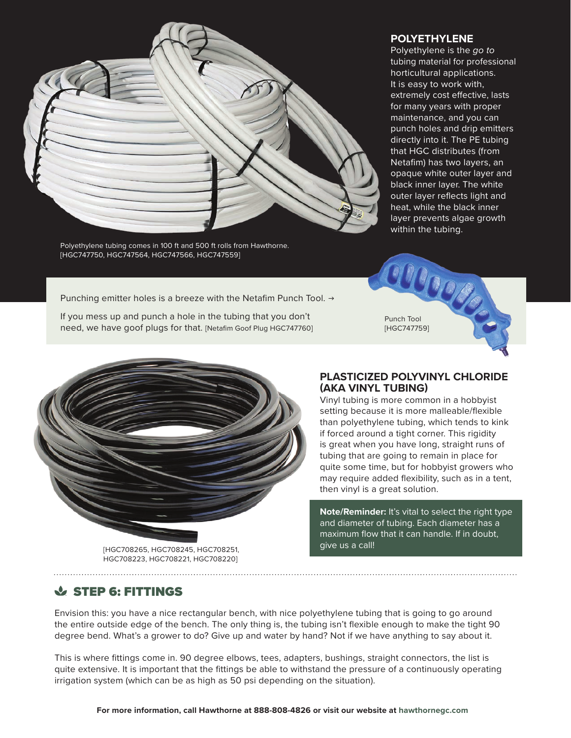

Polyethylene tubing comes in 100 ft and 500 ft rolls from Hawthorne. [HGC747750, HGC747564, HGC747566, HGC747559]

#### **POLYETHYLENE**

Polyethylene is the *go to* tubing material for professional horticultural applications. It is easy to work with, extremely cost effective, lasts for many years with proper maintenance, and you can punch holes and drip emitters directly into it. The PE tubing that HGC distributes (from Netafim) has two layers, an opaque white outer layer and black inner layer. The white outer layer reflects light and heat, while the black inner layer prevents algae growth within the tubing.

Punching emitter holes is a breeze with the Netafim Punch Tool.  $\rightarrow$ 

If you mess up and punch a hole in the tubing that you don't need, we have goof plugs for that. [Netafim Goof Plug HGC747760]

Punch Tool [HGC747759]



HGC708223, HGC708221, HGC708220]

#### **PLASTICIZED POLYVINYL CHLORIDE (AKA VINYL TUBING)**

Vinyl tubing is more common in a hobbyist setting because it is more malleable/flexible than polyethylene tubing, which tends to kink if forced around a tight corner. This rigidity is great when you have long, straight runs of tubing that are going to remain in place for quite some time, but for hobbyist growers who may require added flexibility, such as in a tent, then vinyl is a great solution.

**Note/Reminder:** It's vital to select the right type and diameter of tubing. Each diameter has a maximum flow that it can handle. If in doubt, give us a call!

## STEP 6: FITTINGS

Envision this: you have a nice rectangular bench, with nice polyethylene tubing that is going to go around the entire outside edge of the bench. The only thing is, the tubing isn't flexible enough to make the tight 90 degree bend. What's a grower to do? Give up and water by hand? Not if we have anything to say about it.

This is where fittings come in. 90 degree elbows, tees, adapters, bushings, straight connectors, the list is quite extensive. It is important that the fittings be able to withstand the pressure of a continuously operating irrigation system (which can be as high as 50 psi depending on the situation).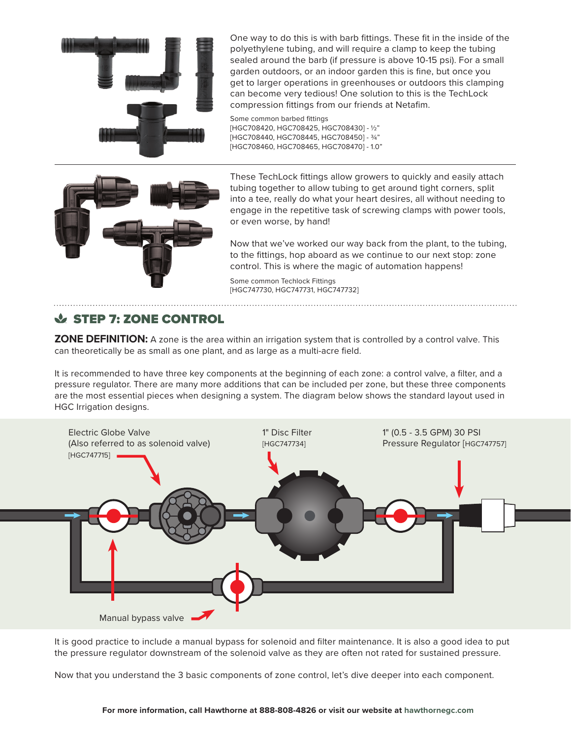

One way to do this is with barb fittings. These fit in the inside of the polyethylene tubing, and will require a clamp to keep the tubing sealed around the barb (if pressure is above 10-15 psi). For a small garden outdoors, or an indoor garden this is fine, but once you get to larger operations in greenhouses or outdoors this clamping can become very tedious! One solution to this is the TechLock compression fittings from our friends at Netafim.

Some common barbed fittings [HGC708420, HGC708425, HGC708430] - ½" [HGC708440, HGC708445, HGC708450] - ¾" [HGC708460, HGC708465, HGC708470] - 1.0"



These TechLock fittings allow growers to quickly and easily attach tubing together to allow tubing to get around tight corners, split into a tee, really do what your heart desires, all without needing to engage in the repetitive task of screwing clamps with power tools, or even worse, by hand!

Now that we've worked our way back from the plant, to the tubing, to the fittings, hop aboard as we continue to our next stop: zone control. This is where the magic of automation happens!

Some common Techlock Fittings [HGC747730, HGC747731, HGC747732]

# STEP 7: ZONE CONTROL

**ZONE DEFINITION:** A zone is the area within an irrigation system that is controlled by a control valve. This can theoretically be as small as one plant, and as large as a multi-acre field.

It is recommended to have three key components at the beginning of each zone: a control valve, a filter, and a pressure regulator. There are many more additions that can be included per zone, but these three components are the most essential pieces when designing a system. The diagram below shows the standard layout used in HGC Irrigation designs.



It is good practice to include a manual bypass for solenoid and filter maintenance. It is also a good idea to put the pressure regulator downstream of the solenoid valve as they are often not rated for sustained pressure.

Now that you understand the 3 basic components of zone control, let's dive deeper into each component.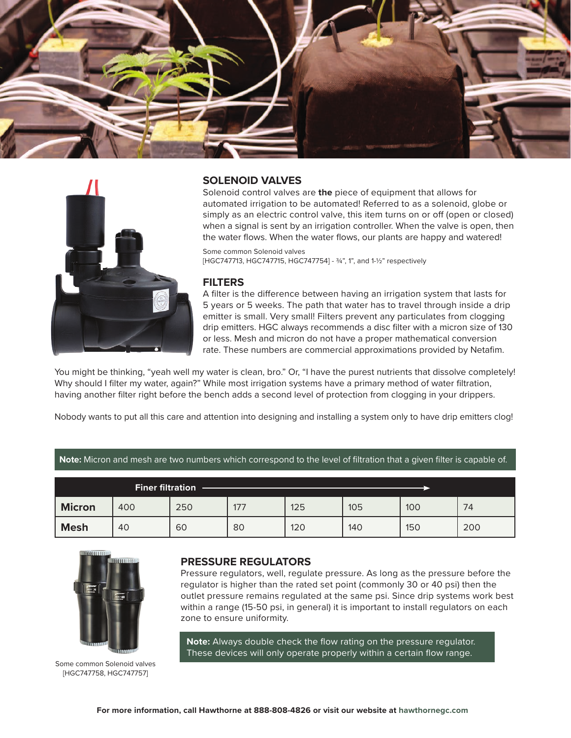



#### **SOLENOID VALVES**

Solenoid control valves are **the** piece of equipment that allows for automated irrigation to be automated! Referred to as a solenoid, globe or simply as an electric control valve, this item turns on or off (open or closed) when a signal is sent by an irrigation controller. When the valve is open, then the water flows. When the water flows, our plants are happy and watered!

Some common Solenoid valves [HGC747713, HGC747715, HGC747754] - 3/4", 1", and 1-1/2" respectively

#### **FILTERS**

A filter is the difference between having an irrigation system that lasts for 5 years or 5 weeks. The path that water has to travel through inside a drip emitter is small. Very small! Filters prevent any particulates from clogging drip emitters. HGC always recommends a disc filter with a micron size of 130 or less. Mesh and micron do not have a proper mathematical conversion rate. These numbers are commercial approximations provided by Netafim.

You might be thinking, "yeah well my water is clean, bro." Or, "I have the purest nutrients that dissolve completely! Why should I filter my water, again?" While most irrigation systems have a primary method of water filtration, having another filter right before the bench adds a second level of protection from clogging in your drippers.

Nobody wants to put all this care and attention into designing and installing a system only to have drip emitters clog!

**Note:** Micron and mesh are two numbers which correspond to the level of filtration that a given filter is capable of.

| <b>Finer filtration</b> |     |     |     |     |     |     |     |  |
|-------------------------|-----|-----|-----|-----|-----|-----|-----|--|
| <b>Micron</b>           | 400 | 250 | 177 | 125 | 105 | 100 | 74  |  |
| <b>Mesh</b>             | 40  | 60  | 80  | 120 | 140 | 150 | 200 |  |



Some common Solenoid valves [HGC747758, HGC747757]

#### **PRESSURE REGULATORS**

Pressure regulators, well, regulate pressure. As long as the pressure before the regulator is higher than the rated set point (commonly 30 or 40 psi) then the outlet pressure remains regulated at the same psi. Since drip systems work best within a range (15-50 psi, in general) it is important to install regulators on each zone to ensure uniformity.

**Note:** Always double check the flow rating on the pressure regulator. These devices will only operate properly within a certain flow range.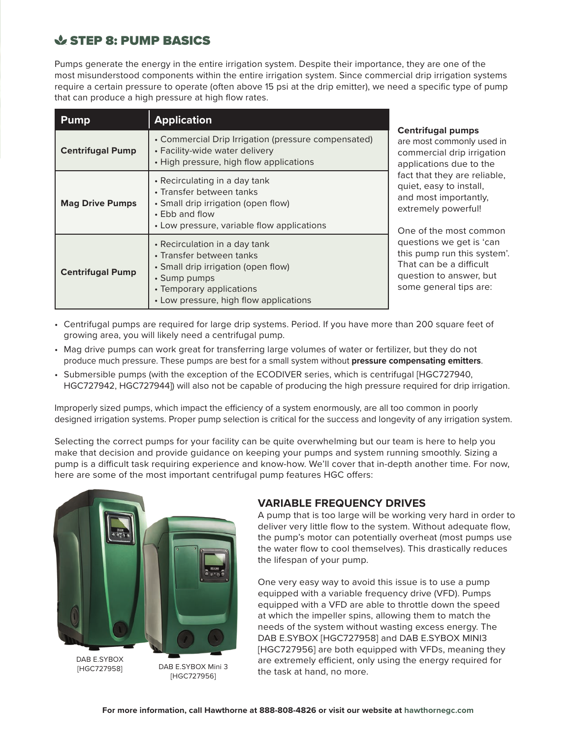## & STEP 8: PUMP BASICS

Pumps generate the energy in the entire irrigation system. Despite their importance, they are one of the most misunderstood components within the entire irrigation system. Since commercial drip irrigation systems require a certain pressure to operate (often above 15 psi at the drip emitter), we need a specific type of pump that can produce a high pressure at high flow rates.

| <b>Pump</b>             | <b>Application</b>                                                                                                                                                                     | <b>Centrifugal pumps</b><br>are most commonly used in<br>commercial drip irrigation<br>applications due to the                          |  |
|-------------------------|----------------------------------------------------------------------------------------------------------------------------------------------------------------------------------------|-----------------------------------------------------------------------------------------------------------------------------------------|--|
| <b>Centrifugal Pump</b> | • Commercial Drip Irrigation (pressure compensated)<br>• Facility-wide water delivery<br>• High pressure, high flow applications                                                       |                                                                                                                                         |  |
| <b>Mag Drive Pumps</b>  | • Recirculating in a day tank<br>• Transfer between tanks<br>• Small drip irrigation (open flow)<br>• Ebb and flow<br>• Low pressure, variable flow applications                       | fact that they are reliable,<br>quiet, easy to install,<br>and most importantly,<br>extremely powerful!<br>One of the most common       |  |
| <b>Centrifugal Pump</b> | • Recirculation in a day tank<br>• Transfer between tanks<br>• Small drip irrigation (open flow)<br>• Sump pumps<br>• Temporary applications<br>• Low pressure, high flow applications | questions we get is 'can<br>this pump run this system'.<br>That can be a difficult<br>question to answer, but<br>some general tips are: |  |

- Centrifugal pumps are required for large drip systems. Period. If you have more than 200 square feet of growing area, you will likely need a centrifugal pump.
- Mag drive pumps can work great for transferring large volumes of water or fertilizer, but they do not produce much pressure. These pumps are best for a small system without **pressure compensating emitters**.
- Submersible pumps (with the exception of the ECODIVER series, which is centrifugal [HGC727940, HGC727942, HGC727944]) will also not be capable of producing the high pressure required for drip irrigation.

Improperly sized pumps, which impact the efficiency of a system enormously, are all too common in poorly designed irrigation systems. Proper pump selection is critical for the success and longevity of any irrigation system.

Selecting the correct pumps for your facility can be quite overwhelming but our team is here to help you make that decision and provide guidance on keeping your pumps and system running smoothly. Sizing a pump is a difficult task requiring experience and know-how. We'll cover that in-depth another time. For now, here are some of the most important centrifugal pump features HGC offers:



DAB E.SYBOX [HGC727958]

DAB E.SYBOX Mini 3 [HGC727956]

#### **VARIABLE FREQUENCY DRIVES**

A pump that is too large will be working very hard in order to deliver very little flow to the system. Without adequate flow, the pump's motor can potentially overheat (most pumps use the water flow to cool themselves). This drastically reduces the lifespan of your pump.

One very easy way to avoid this issue is to use a pump equipped with a variable frequency drive (VFD). Pumps equipped with a VFD are able to throttle down the speed at which the impeller spins, allowing them to match the needs of the system without wasting excess energy. The DAB E.SYBOX [HGC727958] and DAB E.SYBOX MINI3 [HGC727956] are both equipped with VFDs, meaning they are extremely efficient, only using the energy required for the task at hand, no more.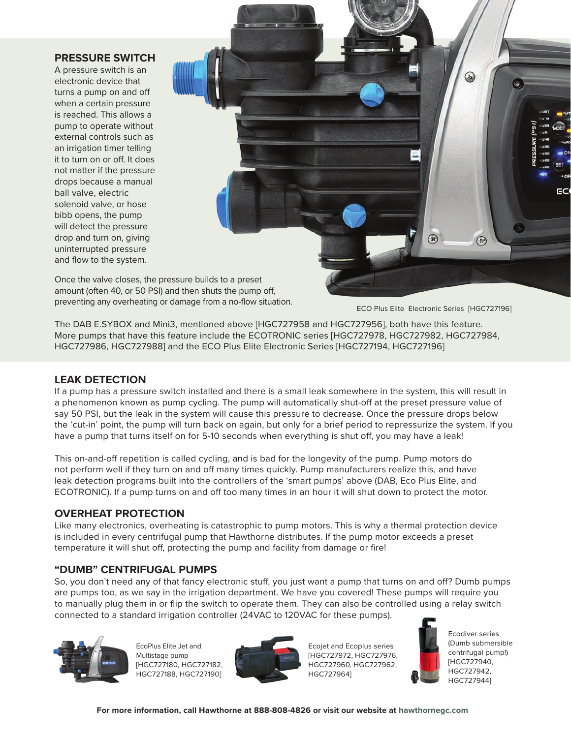#### **PRESSURE SWITCH**

A pressure switch is an electronic device that turns a pump on and off when a certain pressure is reached. This allows a pump to operate without external controls such as an irrigation timer telling it to turn on or off. It does not matter if the pressure drops because a manual ball valve, electric solenoid valve, or hose bibb opens, the pump will detect the pressure drop and turn on, giving uninterrupted pressure and flow to the system.



Once the valve closes, the pressure builds to a preset amount (often 40, or 50 PSI) and then shuts the pump off, preventing any overheating or damage from a no-flow situation.

ECO Plus Elite Electronic Series [HGC727196]

The DAB E.SYBOX and Mini3, mentioned above [HGC727958 and HGC727956], both have this feature. More pumps that have this feature include the ECOTRONIC series [HGC727978, HGC727982, HGC727984, HGC727986, HGC727988] and the ECO Plus Elite Electronic Series [HGC727194, HGC727196]

#### **LEAK DETECTION**

If a pump has a pressure switch installed and there is a small leak somewhere in the system, this will result in a phenomenon known as pump cycling. The pump will automatically shut-off at the preset pressure value of say 50 PSI, but the leak in the system will cause this pressure to decrease. Once the pressure drops below the 'cut-in' point, the pump will turn back on again, but only for a brief period to repressurize the system. If you have a pump that turns itself on for 5-10 seconds when everything is shut off, you may have a leak!

This on-and-off repetition is called cycling, and is bad for the longevity of the pump. Pump motors do not perform well if they turn on and off many times quickly. Pump manufacturers realize this, and have leak detection programs built into the controllers of the 'smart pumps' above (DAB, Eco Plus Elite, and ECOTRONIC). If a pump turns on and off too many times in an hour it will shut down to protect the motor.

#### **OVERHEAT PROTECTION**

Like many electronics, overheating is catastrophic to pump motors. This is why a thermal protection device is included in every centrifugal pump that Hawthorne distributes. If the pump motor exceeds a preset temperature it will shut off, protecting the pump and facility from damage or fire!

#### **"DUMB" CENTRIFUGAL PUMPS**

So, you don't need any of that fancy electronic stuff, you just want a pump that turns on and off? Dumb pumps are pumps too, as we say in the irrigation department. We have you covered! These pumps will require you to manually plug them in or flip the switch to operate them. They can also be controlled using a relay switch connected to a standard irrigation controller (24VAC to 120VAC for these pumps).



EcoPlus Elite Jet and Multistage pump [HGC727180, HGC727182, HGC727188, HGC727190]



Ecojet and Ecoplus series [HGC727972, HGC727976, HGC727960, HGC727962, HGC727964]



Ecodiver series (Dumb submersible centrifugal pump!) [HGC727940, HGC727942, HGC727944]

**For more information, call Hawthorne at 888-808-4826 or visit our website [at hawthornegc.com](https://www.hawthornegc.com/)**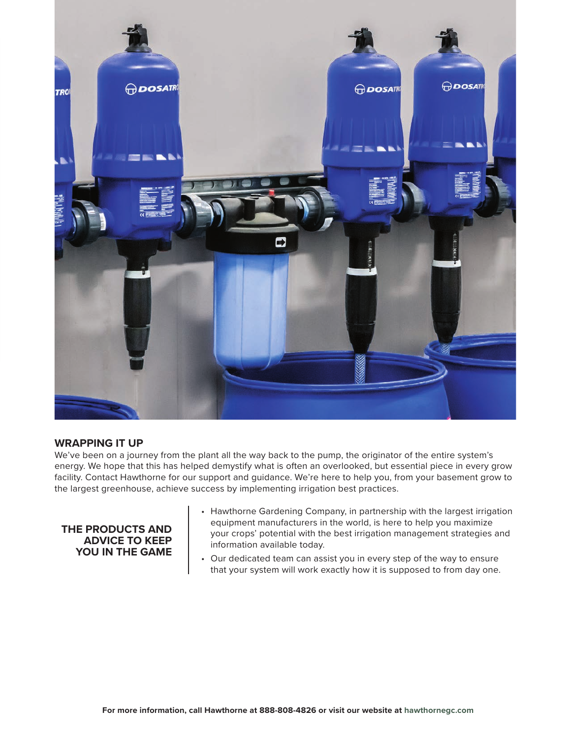

#### **WRAPPING IT UP**

We've been on a journey from the plant all the way back to the pump, the originator of the entire system's energy. We hope that this has helped demystify what is often an overlooked, but essential piece in every grow facility. Contact Hawthorne for our support and guidance. We're here to help you, from your basement grow to the largest greenhouse, achieve success by implementing irrigation best practices.

#### **THE PRODUCTS AND ADVICE TO KEEP YOU IN THE GAME**

- Hawthorne Gardening Company, in partnership with the largest irrigation equipment manufacturers in the world, is here to help you maximize your crops' potential with the best irrigation management strategies and information available today.
- Our dedicated team can assist you in every step of the way to ensure that your system will work exactly how it is supposed to from day one.